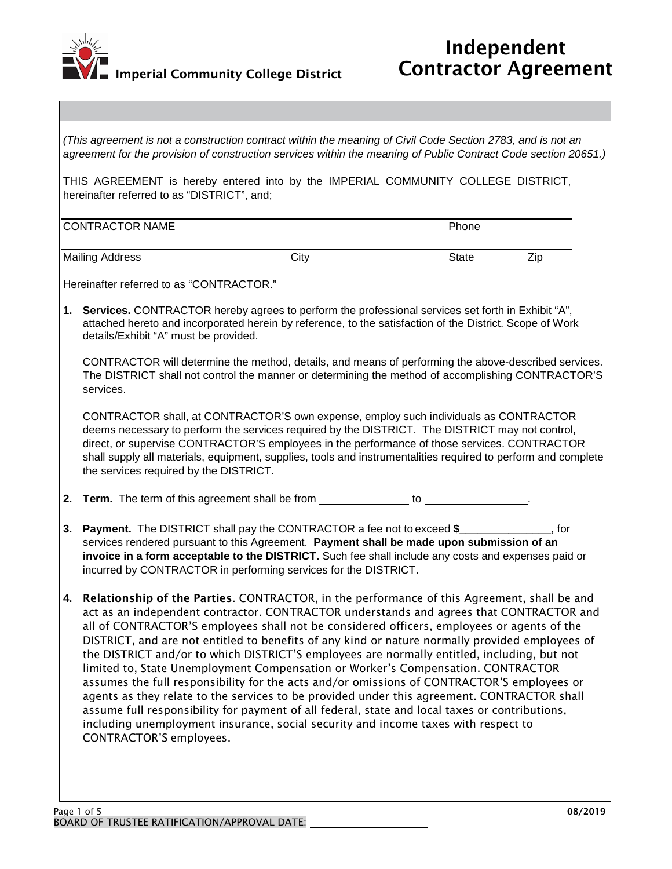

| THIS AGREEMENT is hereby entered into by the IMPERIAL COMMUNITY COLLEGE DISTRICT,<br>hereinafter referred to as "DISTRICT", and;                                                                                                                                                                                                                                                                                                                                                                                                                                                                                                                                                                                                                                                                                                                                                                                                                                                                     |      |                                        |                                                                                                                                                                                                                                                                                                                                                                                                                                                                                                                                                                                                                                                                                                                                  |  |
|------------------------------------------------------------------------------------------------------------------------------------------------------------------------------------------------------------------------------------------------------------------------------------------------------------------------------------------------------------------------------------------------------------------------------------------------------------------------------------------------------------------------------------------------------------------------------------------------------------------------------------------------------------------------------------------------------------------------------------------------------------------------------------------------------------------------------------------------------------------------------------------------------------------------------------------------------------------------------------------------------|------|----------------------------------------|----------------------------------------------------------------------------------------------------------------------------------------------------------------------------------------------------------------------------------------------------------------------------------------------------------------------------------------------------------------------------------------------------------------------------------------------------------------------------------------------------------------------------------------------------------------------------------------------------------------------------------------------------------------------------------------------------------------------------------|--|
| <b>CONTRACTOR NAME</b>                                                                                                                                                                                                                                                                                                                                                                                                                                                                                                                                                                                                                                                                                                                                                                                                                                                                                                                                                                               |      | Phone                                  |                                                                                                                                                                                                                                                                                                                                                                                                                                                                                                                                                                                                                                                                                                                                  |  |
| <b>Mailing Address</b>                                                                                                                                                                                                                                                                                                                                                                                                                                                                                                                                                                                                                                                                                                                                                                                                                                                                                                                                                                               | City | State                                  | Zip                                                                                                                                                                                                                                                                                                                                                                                                                                                                                                                                                                                                                                                                                                                              |  |
| Hereinafter referred to as "CONTRACTOR."                                                                                                                                                                                                                                                                                                                                                                                                                                                                                                                                                                                                                                                                                                                                                                                                                                                                                                                                                             |      |                                        |                                                                                                                                                                                                                                                                                                                                                                                                                                                                                                                                                                                                                                                                                                                                  |  |
| 1. Services. CONTRACTOR hereby agrees to perform the professional services set forth in Exhibit "A",<br>attached hereto and incorporated herein by reference, to the satisfaction of the District. Scope of Work<br>details/Exhibit "A" must be provided.                                                                                                                                                                                                                                                                                                                                                                                                                                                                                                                                                                                                                                                                                                                                            |      |                                        |                                                                                                                                                                                                                                                                                                                                                                                                                                                                                                                                                                                                                                                                                                                                  |  |
| CONTRACTOR will determine the method, details, and means of performing the above-described services.<br>The DISTRICT shall not control the manner or determining the method of accomplishing CONTRACTOR'S<br>services.                                                                                                                                                                                                                                                                                                                                                                                                                                                                                                                                                                                                                                                                                                                                                                               |      |                                        |                                                                                                                                                                                                                                                                                                                                                                                                                                                                                                                                                                                                                                                                                                                                  |  |
|                                                                                                                                                                                                                                                                                                                                                                                                                                                                                                                                                                                                                                                                                                                                                                                                                                                                                                                                                                                                      |      |                                        |                                                                                                                                                                                                                                                                                                                                                                                                                                                                                                                                                                                                                                                                                                                                  |  |
|                                                                                                                                                                                                                                                                                                                                                                                                                                                                                                                                                                                                                                                                                                                                                                                                                                                                                                                                                                                                      |      |                                        |                                                                                                                                                                                                                                                                                                                                                                                                                                                                                                                                                                                                                                                                                                                                  |  |
| <b>Payment.</b> The DISTRICT shall pay the CONTRACTOR a fee not to exceed \$<br>3.<br>_, for<br>services rendered pursuant to this Agreement. Payment shall be made upon submission of an<br>invoice in a form acceptable to the DISTRICT. Such fee shall include any costs and expenses paid or<br>incurred by CONTRACTOR in performing services for the DISTRICT.                                                                                                                                                                                                                                                                                                                                                                                                                                                                                                                                                                                                                                  |      |                                        |                                                                                                                                                                                                                                                                                                                                                                                                                                                                                                                                                                                                                                                                                                                                  |  |
| 4. Relationship of the Parties. CONTRACTOR, in the performance of this Agreement, shall be and<br>act as an independent contractor. CONTRACTOR understands and agrees that CONTRACTOR and<br>all of CONTRACTOR'S employees shall not be considered officers, employees or agents of the<br>DISTRICT, and are not entitled to benefits of any kind or nature normally provided employees of<br>the DISTRICT and/or to which DISTRICT'S employees are normally entitled, including, but not<br>limited to, State Unemployment Compensation or Worker's Compensation. CONTRACTOR<br>assumes the full responsibility for the acts and/or omissions of CONTRACTOR'S employees or<br>agents as they relate to the services to be provided under this agreement. CONTRACTOR shall<br>assume full responsibility for payment of all federal, state and local taxes or contributions,<br>including unemployment insurance, social security and income taxes with respect to<br><b>CONTRACTOR'S employees.</b> |      |                                        |                                                                                                                                                                                                                                                                                                                                                                                                                                                                                                                                                                                                                                                                                                                                  |  |
|                                                                                                                                                                                                                                                                                                                                                                                                                                                                                                                                                                                                                                                                                                                                                                                                                                                                                                                                                                                                      |      | the services required by the DISTRICT. | (This agreement is not a construction contract within the meaning of Civil Code Section 2783, and is not an<br>agreement for the provision of construction services within the meaning of Public Contract Code section 20651.)<br>CONTRACTOR shall, at CONTRACTOR'S own expense, employ such individuals as CONTRACTOR<br>deems necessary to perform the services required by the DISTRICT. The DISTRICT may not control,<br>direct, or supervise CONTRACTOR'S employees in the performance of those services. CONTRACTOR<br>shall supply all materials, equipment, supplies, tools and instrumentalities required to perform and complete<br>2. Term. The term of this agreement shall be from ______________ to _____________. |  |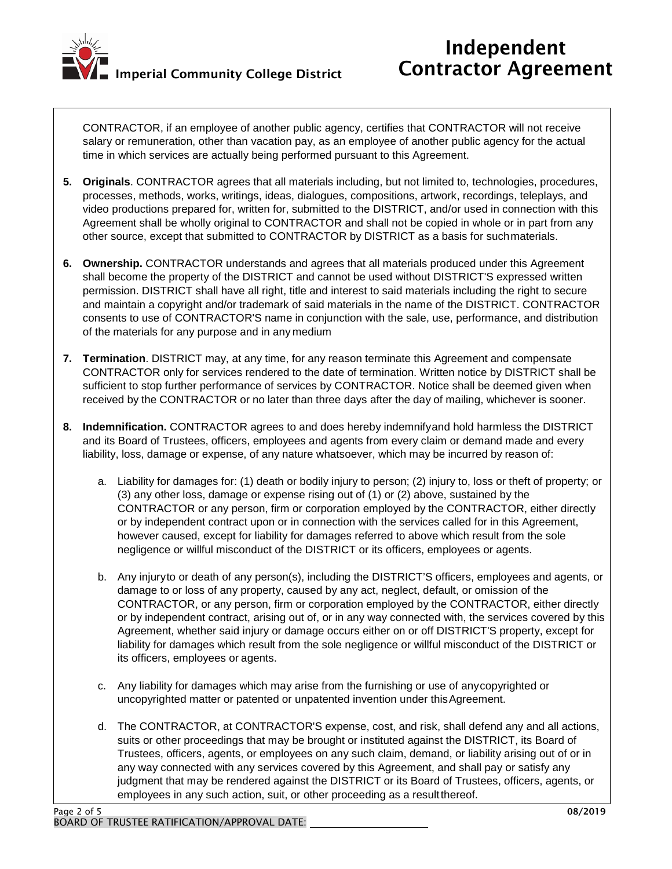

CONTRACTOR, if an employee of another public agency, certifies that CONTRACTOR will not receive salary or remuneration, other than vacation pay, as an employee of another public agency for the actual time in which services are actually being performed pursuant to this Agreement.

- **5. Originals**. CONTRACTOR agrees that all materials including, but not limited to, technologies, procedures, processes, methods, works, writings, ideas, dialogues, compositions, artwork, recordings, teleplays, and video productions prepared for, written for, submitted to the DISTRICT, and/or used in connection with this Agreement shall be wholly original to CONTRACTOR and shall not be copied in whole or in part from any other source, except that submitted to CONTRACTOR by DISTRICT as a basis for suchmaterials.
- **6. Ownership.** CONTRACTOR understands and agrees that all materials produced under this Agreement shall become the property of the DISTRICT and cannot be used without DISTRICT'S expressed written permission. DISTRICT shall have all right, title and interest to said materials including the right to secure and maintain a copyright and/or trademark of said materials in the name of the DISTRICT. CONTRACTOR consents to use of CONTRACTOR'S name in conjunction with the sale, use, performance, and distribution of the materials for any purpose and in any medium
- **7. Termination**. DISTRICT may, at any time, for any reason terminate this Agreement and compensate CONTRACTOR only for services rendered to the date of termination. Written notice by DISTRICT shall be sufficient to stop further performance of services by CONTRACTOR. Notice shall be deemed given when received by the CONTRACTOR or no later than three days after the day of mailing, whichever is sooner.
- **8. Indemnification.** CONTRACTOR agrees to and does hereby indemnifyand hold harmless the DISTRICT and its Board of Trustees, officers, employees and agents from every claim or demand made and every liability, loss, damage or expense, of any nature whatsoever, which may be incurred by reason of:
	- a. Liability for damages for: (1) death or bodily injury to person; (2) injury to, loss or theft of property; or (3) any other loss, damage or expense rising out of (1) or (2) above, sustained by the CONTRACTOR or any person, firm or corporation employed by the CONTRACTOR, either directly or by independent contract upon or in connection with the services called for in this Agreement, however caused, except for liability for damages referred to above which result from the sole negligence or willful misconduct of the DISTRICT or its officers, employees or agents.
	- b. Any injuryto or death of any person(s), including the DISTRICT'S officers, employees and agents, or damage to or loss of any property, caused by any act, neglect, default, or omission of the CONTRACTOR, or any person, firm or corporation employed by the CONTRACTOR, either directly or by independent contract, arising out of, or in any way connected with, the services covered by this Agreement, whether said injury or damage occurs either on or off DISTRICT'S property, except for liability for damages which result from the sole negligence or willful misconduct of the DISTRICT or its officers, employees or agents.
	- c. Any liability for damages which may arise from the furnishing or use of anycopyrighted or uncopyrighted matter or patented or unpatented invention under thisAgreement.
	- d. The CONTRACTOR, at CONTRACTOR'S expense, cost, and risk, shall defend any and all actions, suits or other proceedings that may be brought or instituted against the DISTRICT, its Board of Trustees, officers, agents, or employees on any such claim, demand, or liability arising out of or in any way connected with any services covered by this Agreement, and shall pay or satisfy any judgment that may be rendered against the DISTRICT or its Board of Trustees, officers, agents, or employees in any such action, suit, or other proceeding as a result thereof.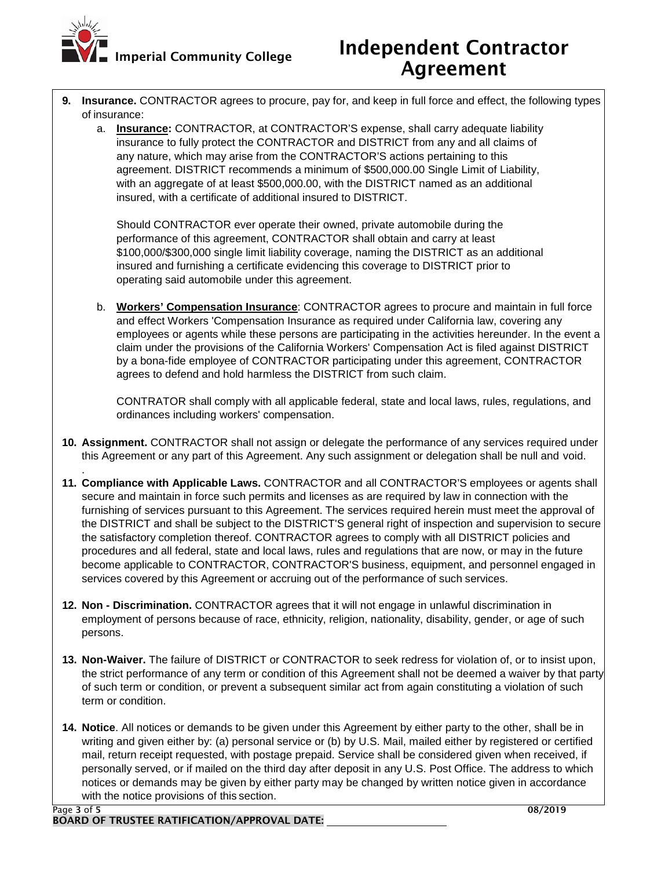

# Independent Contractor Agreement

- **9. Insurance.** CONTRACTOR agrees to procure, pay for, and keep in full force and effect, the following types of insurance:
	- a. **Insurance:** CONTRACTOR, at CONTRACTOR'S expense, shall carry adequate liability insurance to fully protect the CONTRACTOR and DISTRICT from any and all claims of any nature, which may arise from the CONTRACTOR'S actions pertaining to this agreement. DISTRICT recommends a minimum of \$500,000.00 Single Limit of Liability, with an aggregate of at least \$500,000.00, with the DISTRICT named as an additional insured, with a certificate of additional insured to DISTRICT.

Should CONTRACTOR ever operate their owned, private automobile during the performance of this agreement, CONTRACTOR shall obtain and carry at least \$100,000/\$300,000 single limit liability coverage, naming the DISTRICT as an additional insured and furnishing a certificate evidencing this coverage to DISTRICT prior to operating said automobile under this agreement.

b. **Workers' Compensation Insurance**: CONTRACTOR agrees to procure and maintain in full force and effect Workers 'Compensation Insurance as required under California law, covering any employees or agents while these persons are participating in the activities hereunder. In the event a claim under the provisions of the California Workers' Compensation Act is filed against DISTRICT by a bona-fide employee of CONTRACTOR participating under this agreement, CONTRACTOR agrees to defend and hold harmless the DISTRICT from such claim.

CONTRATOR shall comply with all applicable federal, state and local laws, rules, regulations, and ordinances including workers' compensation.

- **10. Assignment.** CONTRACTOR shall not assign or delegate the performance of any services required under this Agreement or any part of this Agreement. Any such assignment or delegation shall be null and void.
- **11. Compliance with Applicable Laws.** CONTRACTOR and all CONTRACTOR'S employees or agents shall secure and maintain in force such permits and licenses as are required by law in connection with the furnishing of services pursuant to this Agreement. The services required herein must meet the approval of the DISTRICT and shall be subject to the DISTRICT'S general right of inspection and supervision to secure the satisfactory completion thereof. CONTRACTOR agrees to comply with all DISTRICT policies and procedures and all federal, state and local laws, rules and regulations that are now, or may in the future become applicable to CONTRACTOR, CONTRACTOR'S business, equipment, and personnel engaged in services covered by this Agreement or accruing out of the performance of such services.
- **12. Non - Discrimination.** CONTRACTOR agrees that it will not engage in unlawful discrimination in employment of persons because of race, ethnicity, religion, nationality, disability, gender, or age of such persons.
- **13. Non-Waiver.** The failure of DISTRICT or CONTRACTOR to seek redress for violation of, or to insist upon, the strict performance of any term or condition of this Agreement shall not be deemed a waiver by that party of such term or condition, or prevent a subsequent similar act from again constituting a violation of such term or condition.
- **14. Notice**. All notices or demands to be given under this Agreement by either party to the other, shall be in writing and given either by: (a) personal service or (b) by U.S. Mail, mailed either by registered or certified mail, return receipt requested, with postage prepaid. Service shall be considered given when received, if personally served, or if mailed on the third day after deposit in any U.S. Post Office. The address to which notices or demands may be given by either party may be changed by written notice given in accordance with the notice provisions of this section.

.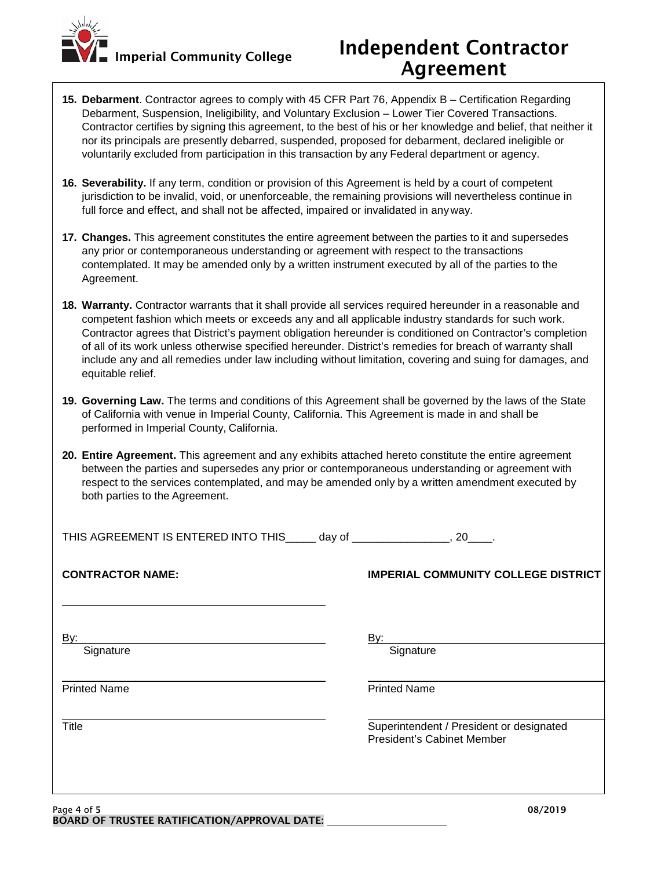

## Independent Contractor Agreement

- **15. Debarment**. Contractor agrees to comply with 45 CFR Part 76, Appendix B Certification Regarding Debarment, Suspension, Ineligibility, and Voluntary Exclusion – Lower Tier Covered Transactions. Contractor certifies by signing this agreement, to the best of his or her knowledge and belief, that neither it nor its principals are presently debarred, suspended, proposed for debarment, declared ineligible or voluntarily excluded from participation in this transaction by any Federal department or agency.
- **16. Severability.** If any term, condition or provision of this Agreement is held by a court of competent jurisdiction to be invalid, void, or unenforceable, the remaining provisions will nevertheless continue in full force and effect, and shall not be affected, impaired or invalidated in anyway.
- **17. Changes.** This agreement constitutes the entire agreement between the parties to it and supersedes any prior or contemporaneous understanding or agreement with respect to the transactions contemplated. It may be amended only by a written instrument executed by all of the parties to the Agreement.
- **18. Warranty.** Contractor warrants that it shall provide all services required hereunder in a reasonable and competent fashion which meets or exceeds any and all applicable industry standards for such work. Contractor agrees that District's payment obligation hereunder is conditioned on Contractor's completion of all of its work unless otherwise specified hereunder. District's remedies for breach of warranty shall include any and all remedies under law including without limitation, covering and suing for damages, and equitable relief.
- **19. Governing Law.** The terms and conditions of this Agreement shall be governed by the laws of the State of California with venue in Imperial County, California. This Agreement is made in and shall be performed in Imperial County, California.
- **20. Entire Agreement.** This agreement and any exhibits attached hereto constitute the entire agreement between the parties and supersedes any prior or contemporaneous understanding or agreement with respect to the services contemplated, and may be amended only by a written amendment executed by both parties to the Agreement.

| THIS AGREEMENT IS ENTERED INTO THIS______ day of _________________, 20____. |                                                                               |
|-----------------------------------------------------------------------------|-------------------------------------------------------------------------------|
| <b>CONTRACTOR NAME:</b>                                                     | <b>IMPERIAL COMMUNITY COLLEGE DISTRICT</b>                                    |
| By:<br>Signature                                                            | <u>By: </u><br>Signature                                                      |
| <b>Printed Name</b>                                                         | <b>Printed Name</b>                                                           |
| <b>Title</b>                                                                | Superintendent / President or designated<br><b>President's Cabinet Member</b> |
|                                                                             |                                                                               |